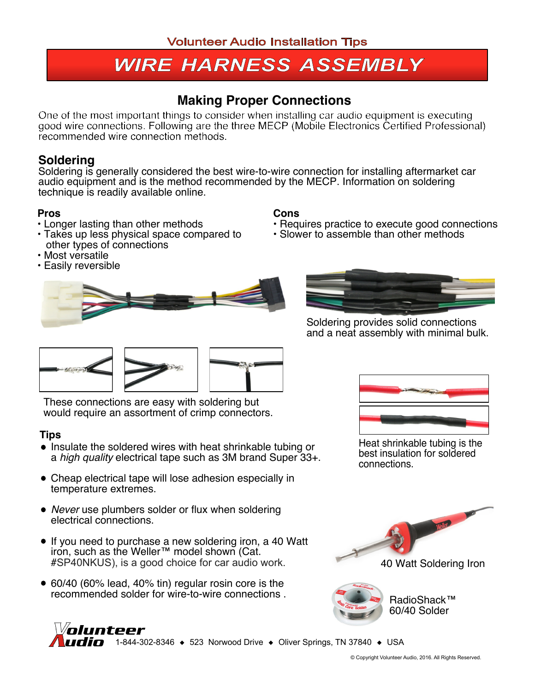# **WIRE HARNESS ASSEMBLY**

## **Making Proper Connections**

One of the most important things to consider when installing car audio equipment is executing good wire connections. Following are the three MECP (Mobile Electronics Certified Professional) recommended wire connection methods.

### **Soldering**

Soldering is generally considered the best wire-to-wire connection for installing aftermarket car audio equipment and is the method recommended by the MECP. Information on soldering technique is readily available online.

**Cons**

#### **Pros**

- **•** Longer lasting than other methods
- **•** Takes up less physical space compared to other types of connections
- **•** Most versatile
- **•** Easily reversible





**•** Requires practice to execute good connections

**•** Slower to assemble than other methods

Soldering provides solid connections and a neat assembly with minimal bulk.



These connections are easy with soldering but would require an assortment of crimp connectors.

#### **Tips**

- Insulate the soldered wires with heat shrinkable tubing or a *high quality* electrical tape such as 3M brand Super 33+.
- Cheap electrical tape will lose adhesion especially in temperature extremes.
- *Never* use plumbers solder or flux when soldering electrical connections.
- If you need to purchase a new soldering iron, a 40 Watt iron, such as the Weller™ model shown (Cat. #SP40NKUS), is a good choice for car audio work.
- 60/40 (60% lead, 40% tin) regular rosin core is the recommended solder for wire-to-wire connections .



Heat shrinkable tubing is the best insulation for soldered connections.





RadioShack™ 60/40 Solder

#### *Volunteer* **110 C** 1-844-302-8346  $\rightarrow$  523 Norwood Drive  $\rightarrow$  Oliver Springs, TN 37840  $\rightarrow$  USA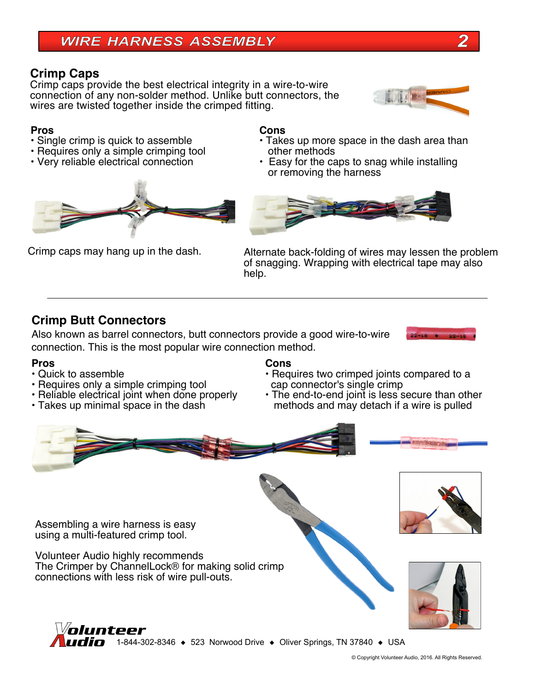#### **Crimp Caps**

Crimp caps provide the best electrical integrity in a wire-to-wire connection of any non-solder method. Unlike butt connectors, the wires are twisted together inside the crimped fitting.

#### **Pros**

- **•** Single crimp is quick to assemble
- **•** Requires only a simple crimping tool
- **•** Very reliable electrical connection



#### **Cons**

- **•** Takes up more space in the dash area than other methods
- **•** Easy for the caps to snag while installing or removing the harness



Crimp caps may hang up in the dash. Alternate back-folding of wires may lessen the problem of snagging. Wrapping with electrical tape may also help.

#### **Crimp Butt Connectors**

Also known as barrel connectors, butt connectors provide a good wire-to-wire connection. This is the most popular wire connection method.

#### **Pros**

- **•** Quick to assemble
- **•** Requires only a simple crimping tool
- **•** Reliable electrical joint when done properly
- **•** Takes up minimal space in the dash

#### **Cons**

- **•** Requires two crimped joints compared to a cap connector's single crimp
- **•** The end-to-end joint is less secure than other methods and may detach if a wire is pulled





Volunteer Audio highly recommends The Crimper by ChannelLock® for making solid crimp connections with less risk of wire pull-outs.